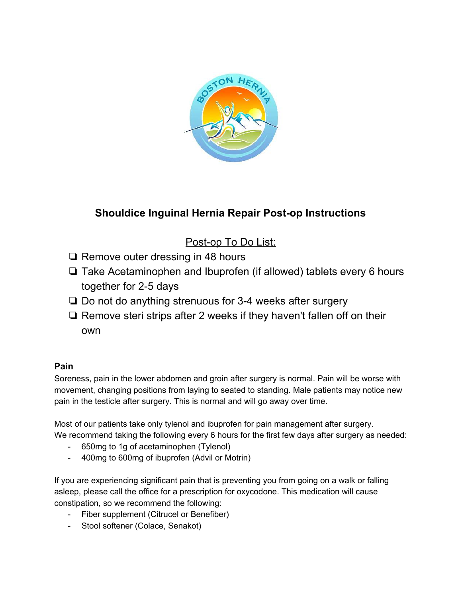

# **Shouldice Inguinal Hernia Repair Post-op Instructions**

# Post-op To Do List:

- ❏ Remove outer dressing in 48 hours
- ❏ Take Acetaminophen and Ibuprofen (if allowed) tablets every 6 hours together for 2-5 days
- ❏ Do not do anything strenuous for 3-4 weeks after surgery
- ❏ Remove steri strips after 2 weeks if they haven't fallen off on their own

# **Pain**

Soreness, pain in the lower abdomen and groin after surgery is normal. Pain will be worse with movement, changing positions from laying to seated to standing. Male patients may notice new pain in the testicle after surgery. This is normal and will go away over time.

Most of our patients take only tylenol and ibuprofen for pain management after surgery. We recommend taking the following every 6 hours for the first few days after surgery as needed:

- 650mg to 1g of acetaminophen (Tylenol)
- 400mg to 600mg of ibuprofen (Advil or Motrin)

If you are experiencing significant pain that is preventing you from going on a walk or falling asleep, please call the office for a prescription for oxycodone. This medication will cause constipation, so we recommend the following:

- Fiber supplement (Citrucel or Benefiber)
- Stool softener (Colace, Senakot)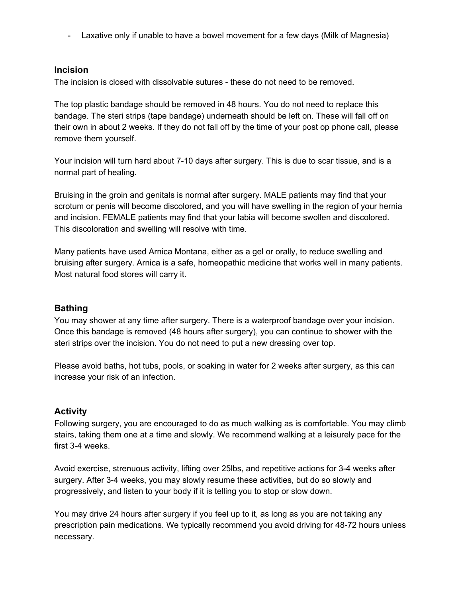- Laxative only if unable to have a bowel movement for a few days (Milk of Magnesia)

## **Incision**

The incision is closed with dissolvable sutures - these do not need to be removed.

The top plastic bandage should be removed in 48 hours. You do not need to replace this bandage. The steri strips (tape bandage) underneath should be left on. These will fall off on their own in about 2 weeks. If they do not fall off by the time of your post op phone call, please remove them yourself.

Your incision will turn hard about 7-10 days after surgery. This is due to scar tissue, and is a normal part of healing.

Bruising in the groin and genitals is normal after surgery. MALE patients may find that your scrotum or penis will become discolored, and you will have swelling in the region of your hernia and incision. FEMALE patients may find that your labia will become swollen and discolored. This discoloration and swelling will resolve with time.

Many patients have used Arnica Montana, either as a gel or orally, to reduce swelling and bruising after surgery. Arnica is a safe, homeopathic medicine that works well in many patients. Most natural food stores will carry it.

# **Bathing**

You may shower at any time after surgery. There is a waterproof bandage over your incision. Once this bandage is removed (48 hours after surgery), you can continue to shower with the steri strips over the incision. You do not need to put a new dressing over top.

Please avoid baths, hot tubs, pools, or soaking in water for 2 weeks after surgery, as this can increase your risk of an infection.

#### **Activity**

Following surgery, you are encouraged to do as much walking as is comfortable. You may climb stairs, taking them one at a time and slowly. We recommend walking at a leisurely pace for the first 3-4 weeks.

Avoid exercise, strenuous activity, lifting over 25lbs, and repetitive actions for 3-4 weeks after surgery. After 3-4 weeks, you may slowly resume these activities, but do so slowly and progressively, and listen to your body if it is telling you to stop or slow down.

You may drive 24 hours after surgery if you feel up to it, as long as you are not taking any prescription pain medications. We typically recommend you avoid driving for 48-72 hours unless necessary.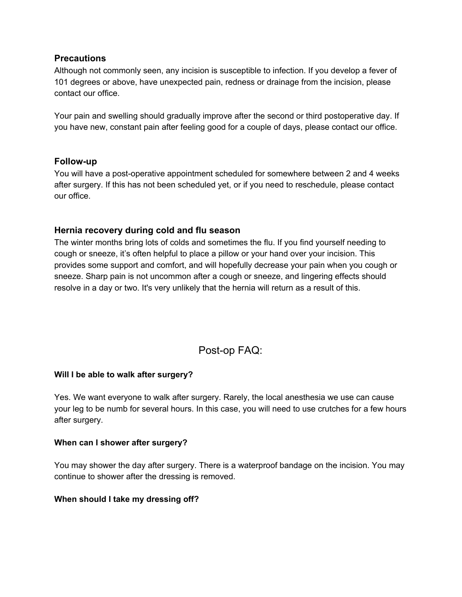# **Precautions**

Although not commonly seen, any incision is susceptible to infection. If you develop a fever of 101 degrees or above, have unexpected pain, redness or drainage from the incision, please contact our office.

Your pain and swelling should gradually improve after the second or third postoperative day. If you have new, constant pain after feeling good for a couple of days, please contact our office.

### **Follow-up**

You will have a post-operative appointment scheduled for somewhere between 2 and 4 weeks after surgery. If this has not been scheduled yet, or if you need to reschedule, please contact our office.

# **Hernia recovery during cold and flu season**

The winter months bring lots of colds and sometimes the flu. If you find yourself needing to cough or sneeze, it's often helpful to place a pillow or your hand over your incision. This provides some support and comfort, and will hopefully decrease your pain when you cough or sneeze. Sharp pain is not uncommon after a cough or sneeze, and lingering effects should resolve in a day or two. It's very unlikely that the hernia will return as a result of this.

# Post-op FAQ:

# **Will I be able to walk after surgery?**

Yes. We want everyone to walk after surgery. Rarely, the local anesthesia we use can cause your leg to be numb for several hours. In this case, you will need to use crutches for a few hours after surgery.

#### **When can I shower after surgery?**

You may shower the day after surgery. There is a waterproof bandage on the incision. You may continue to shower after the dressing is removed.

#### **When should I take my dressing off?**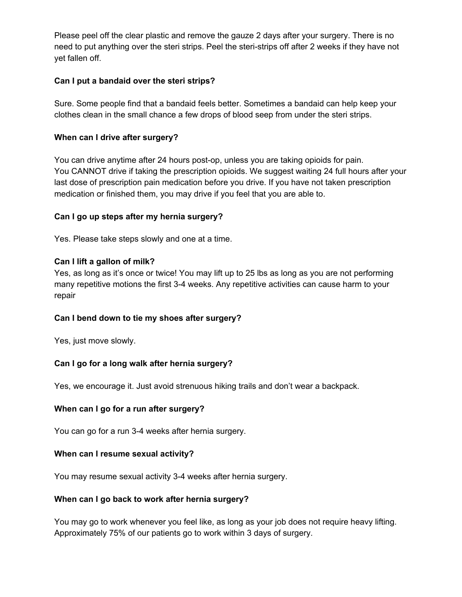Please peel off the clear plastic and remove the gauze 2 days after your surgery. There is no need to put anything over the steri strips. Peel the steri-strips off after 2 weeks if they have not yet fallen off.

## **Can I put a bandaid over the steri strips?**

Sure. Some people find that a bandaid feels better. Sometimes a bandaid can help keep your clothes clean in the small chance a few drops of blood seep from under the steri strips.

#### **When can I drive after surgery?**

You can drive anytime after 24 hours post-op, unless you are taking opioids for pain. You CANNOT drive if taking the prescription opioids. We suggest waiting 24 full hours after your last dose of prescription pain medication before you drive. If you have not taken prescription medication or finished them, you may drive if you feel that you are able to.

### **Can I go up steps after my hernia surgery?**

Yes. Please take steps slowly and one at a time.

#### **Can I lift a gallon of milk?**

Yes, as long as it's once or twice! You may lift up to 25 lbs as long as you are not performing many repetitive motions the first 3-4 weeks. Any repetitive activities can cause harm to your repair

#### **Can I bend down to tie my shoes after surgery?**

Yes, just move slowly.

# **Can I go for a long walk after hernia surgery?**

Yes, we encourage it. Just avoid strenuous hiking trails and don't wear a backpack.

# **When can I go for a run after surgery?**

You can go for a run 3-4 weeks after hernia surgery.

#### **When can I resume sexual activity?**

You may resume sexual activity 3-4 weeks after hernia surgery.

#### **When can I go back to work after hernia surgery?**

You may go to work whenever you feel like, as long as your job does not require heavy lifting. Approximately 75% of our patients go to work within 3 days of surgery.